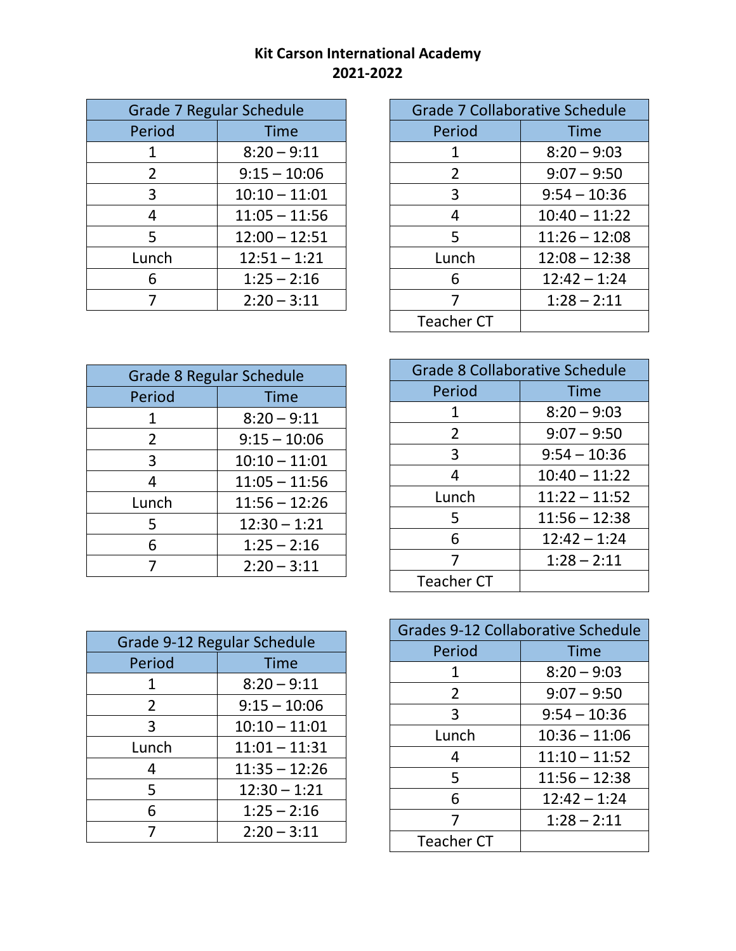## **Kit Carson International Academy 2021-2022**

| Grade 7 Regular Schedule |                 |
|--------------------------|-----------------|
| Period                   | Time            |
| 1                        | $8:20 - 9:11$   |
| $\overline{2}$           | $9:15 - 10:06$  |
| 3                        | $10:10 - 11:01$ |
| 4                        | $11:05 - 11:56$ |
| 5                        | $12:00 - 12:51$ |
| Lunch                    | $12:51 - 1:21$  |
| 6                        | $1:25 - 2:16$   |
|                          | $2:20 - 3:11$   |

| Grade 7 Collaborative Schedule |                 |
|--------------------------------|-----------------|
| Period                         | Time            |
| 1                              | $8:20 - 9:03$   |
| 2                              | $9:07 - 9:50$   |
| 3                              | $9:54 - 10:36$  |
| 4                              | $10:40 - 11:22$ |
| 5                              | $11:26 - 12:08$ |
| Lunch                          | $12:08 - 12:38$ |
| 6                              | $12:42 - 1:24$  |
| 7                              | $1:28 - 2:11$   |
| <b>Teacher CT</b>              |                 |

| Grade 8 Regular Schedule |                 |
|--------------------------|-----------------|
| Period                   | Time            |
| 1                        | $8:20 - 9:11$   |
| $\overline{2}$           | $9:15 - 10:06$  |
| 3                        | $10:10 - 11:01$ |
| 4                        | $11:05 - 11:56$ |
| Lunch                    | $11:56 - 12:26$ |
| 5                        | $12:30 - 1:21$  |
| 6                        | $1:25 - 2:16$   |
|                          | $2:20 - 3:11$   |

| Grade 8 Collaborative Schedule |                 |
|--------------------------------|-----------------|
| Period                         | Time            |
| 1                              | $8:20 - 9:03$   |
| $\overline{2}$                 | $9:07 - 9:50$   |
| 3                              | $9:54 - 10:36$  |
| 4                              | $10:40 - 11:22$ |
| Lunch                          | $11:22 - 11:52$ |
| 5                              | $11:56 - 12:38$ |
| 6                              | $12:42 - 1:24$  |
| 7                              | $1:28 - 2:11$   |
| <b>Teacher CT</b>              |                 |

| Grades 9-12 Collaborative Schedule |                 |
|------------------------------------|-----------------|
| Period                             | Time            |
| 1                                  | $8:20 - 9:03$   |
| 2                                  | $9:07 - 9:50$   |
| 3                                  | $9:54 - 10:36$  |
| Lunch                              | $10:36 - 11:06$ |
| 4                                  | $11:10 - 11:52$ |
| 5                                  | $11:56 - 12:38$ |
| 6                                  | $12:42 - 1:24$  |
| 7                                  | $1:28 - 2:11$   |
| <b>Teacher CT</b>                  |                 |

| Grade 9-12 Regular Schedule |                 |
|-----------------------------|-----------------|
| Period                      | <b>Time</b>     |
| 1                           | $8:20 - 9:11$   |
| $\overline{2}$              | $9:15 - 10:06$  |
| 3                           | $10:10 - 11:01$ |
| Lunch                       | $11:01 - 11:31$ |
| Δ                           | $11:35 - 12:26$ |
| 5                           | $12:30 - 1:21$  |
| 6                           | $1:25 - 2:16$   |
|                             | $2:20 - 3:11$   |